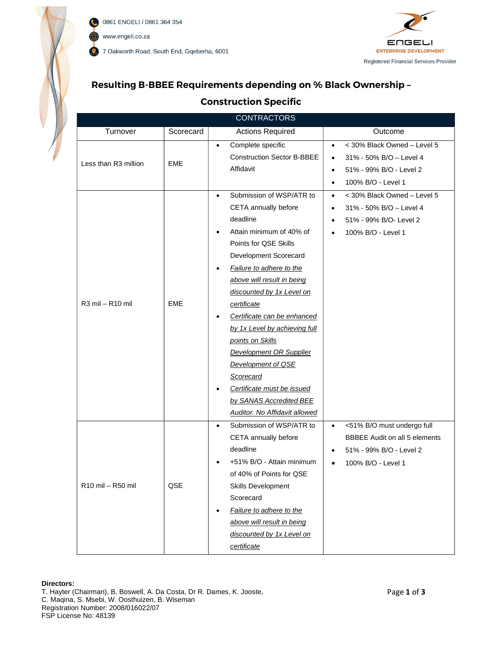

0861 ENGELI / 0861 364 354 C www.engeli.co.za 7 Oakworth Road, South End, Gqeberha, 6001



## Resulting B-BBEE Requirements depending on % Black Ownership –

## Construction Specific

|                      |            | <b>CONTRACTORS</b>                       |                                          |
|----------------------|------------|------------------------------------------|------------------------------------------|
| Turnover             | Scorecard  | <b>Actions Required</b>                  | Outcome                                  |
|                      |            | Complete specific<br>$\bullet$           | < 30% Black Owned - Level 5<br>$\bullet$ |
| Less than R3 million |            | <b>Construction Sector B-BBEE</b>        | 31% - 50% B/O - Level 4<br>$\bullet$     |
|                      | EME        | Affidavit                                | 51% - 99% B/O - Level 2<br>$\bullet$     |
|                      |            |                                          | 100% B/O - Level 1<br>$\bullet$          |
|                      |            | Submission of WSP/ATR to<br>$\bullet$    | < 30% Black Owned - Level 5<br>$\bullet$ |
|                      |            | CETA annually before                     | 31% - 50% B/O - Level 4<br>$\bullet$     |
|                      |            | deadline                                 | 51% - 99% B/O- Level 2<br>$\bullet$      |
|                      |            | Attain minimum of 40% of<br>$\bullet$    | 100% B/O - Level 1<br>$\bullet$          |
|                      |            | Points for QSE Skills                    |                                          |
|                      |            | Development Scorecard                    |                                          |
|                      |            | Failure to adhere to the<br>$\bullet$    |                                          |
|                      |            | above will result in being               |                                          |
|                      |            | discounted by 1x Level on                |                                          |
| R3 mil - R10 mil     | <b>EME</b> | certificate                              |                                          |
|                      |            | Certificate can be enhanced<br>$\bullet$ |                                          |
|                      |            | by 1x Level by achieving full            |                                          |
|                      |            | points on Skills                         |                                          |
|                      |            | <b>Development OR Supplier</b>           |                                          |
|                      |            | Development of QSE                       |                                          |
|                      |            | Scorecard                                |                                          |
|                      |            | Certificate must be issued<br>$\bullet$  |                                          |
|                      |            | by SANAS Accredited BEE                  |                                          |
|                      |            | <b>Auditor. No Affidavit allowed</b>     |                                          |
|                      |            | Submission of WSP/ATR to<br>$\bullet$    | <51% B/O must undergo full<br>$\bullet$  |
|                      |            | CETA annually before                     | <b>BBBEE Audit on all 5 elements</b>     |
|                      |            | deadline                                 | 51% - 99% B/O - Level 2<br>$\bullet$     |
|                      |            | +51% B/O - Attain minimum<br>$\bullet$   | 100% B/O - Level 1<br>$\bullet$          |
|                      |            | of 40% of Points for QSE                 |                                          |
| R10 mil - R50 mil    | QSE        | Skills Development                       |                                          |
|                      |            | Scorecard                                |                                          |
|                      |            | Failure to adhere to the<br>$\bullet$    |                                          |
|                      |            | above will result in being               |                                          |
|                      |            | discounted by 1x Level on                |                                          |
|                      |            | certificate                              |                                          |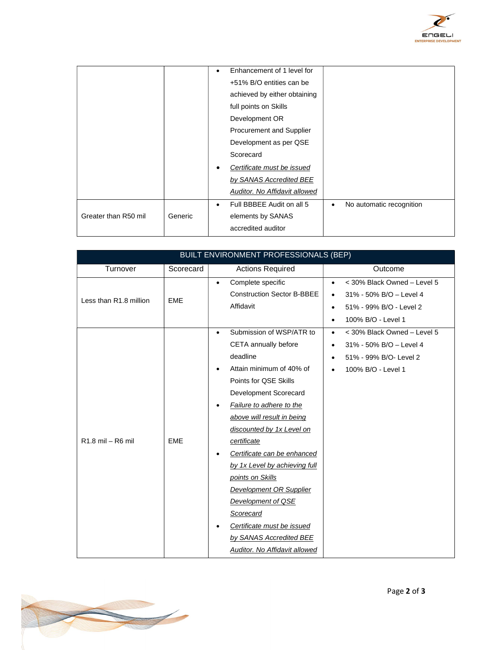

|                      |         | Enhancement of 1 level for<br>$\bullet$                                 |
|----------------------|---------|-------------------------------------------------------------------------|
|                      |         | +51% B/O entities can be                                                |
|                      |         | achieved by either obtaining                                            |
|                      |         | full points on Skills                                                   |
|                      |         | Development OR                                                          |
|                      |         | Procurement and Supplier                                                |
|                      |         | Development as per QSE                                                  |
|                      |         | Scorecard                                                               |
|                      |         | Certificate must be issued                                              |
|                      |         | by SANAS Accredited BEE                                                 |
|                      |         | Auditor. No Affidavit allowed                                           |
|                      |         | Full BBBEE Audit on all 5<br>No automatic recognition<br>٠<br>$\bullet$ |
| Greater than R50 mil | Generic | elements by SANAS                                                       |
|                      |         | accredited auditor                                                      |

|                        |            | BUILT ENVIRONMENT PROFESSIONALS (BEP)                                                                                                                                                                                                                                                                                                                                                                                                                                                                                           |                                                                                                                                                     |
|------------------------|------------|---------------------------------------------------------------------------------------------------------------------------------------------------------------------------------------------------------------------------------------------------------------------------------------------------------------------------------------------------------------------------------------------------------------------------------------------------------------------------------------------------------------------------------|-----------------------------------------------------------------------------------------------------------------------------------------------------|
| Turnover               | Scorecard  | <b>Actions Required</b>                                                                                                                                                                                                                                                                                                                                                                                                                                                                                                         | Outcome                                                                                                                                             |
| Less than R1.8 million | <b>EME</b> | Complete specific<br>$\bullet$<br><b>Construction Sector B-BBEE</b><br>Affidavit                                                                                                                                                                                                                                                                                                                                                                                                                                                | < 30% Black Owned - Level 5<br>$\bullet$<br>31% - 50% B/O - Level 4<br>٠<br>51% - 99% B/O - Level 2<br>$\bullet$<br>100% B/O - Level 1<br>$\bullet$ |
| R1.8 mil - R6 mil      | <b>EME</b> | Submission of WSP/ATR to<br>$\bullet$<br>CETA annually before<br>deadline<br>Attain minimum of 40% of<br>٠<br>Points for QSE Skills<br>Development Scorecard<br>Failure to adhere to the<br>٠<br>above will result in being<br>discounted by 1x Level on<br>certificate<br>Certificate can be enhanced<br>٠<br>by 1x Level by achieving full<br>points on Skills<br><b>Development OR Supplier</b><br>Development of QSE<br>Scorecard<br>Certificate must be issued<br>by SANAS Accredited BEE<br>Auditor. No Affidavit allowed | < 30% Black Owned - Level 5<br>$\bullet$<br>31% - 50% B/O - Level 4<br>$\bullet$<br>51% - 99% B/O- Level 2<br>٠<br>100% B/O - Level 1<br>$\bullet$  |